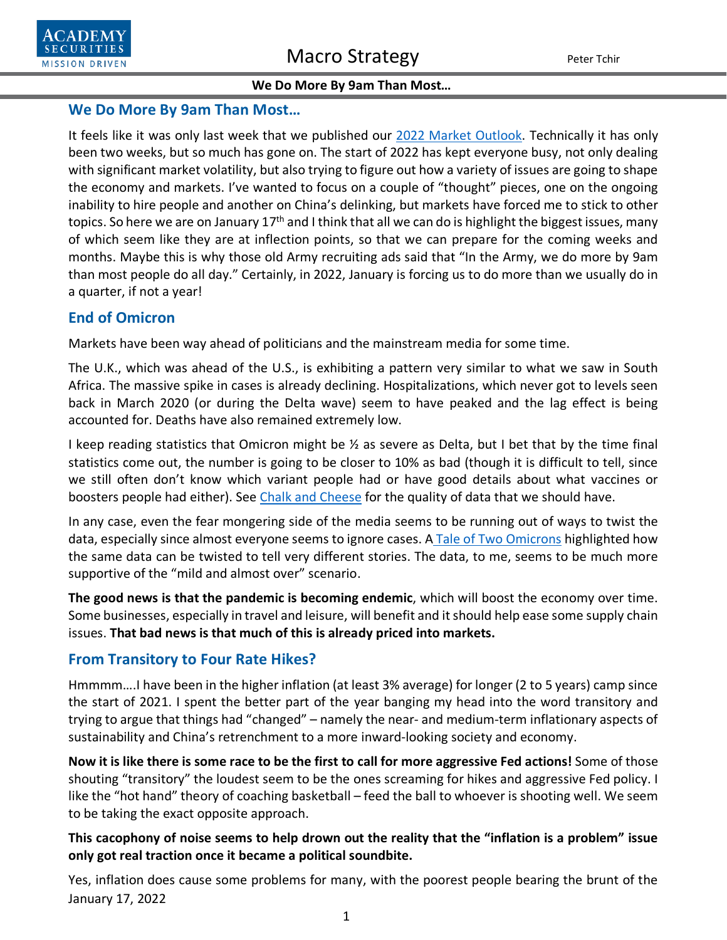## **We Do More By 9am Than Most…**

It feels like it was only last week that we published our [2022 Market Outlook.](https://www.academysecurities.com/wordpress/wp-content/uploads/2022/01/The-2022-Outlook.pdf) Technically it has only been two weeks, but so much has gone on. The start of 2022 has kept everyone busy, not only dealing with significant market volatility, but also trying to figure out how a variety of issues are going to shape the economy and markets. I've wanted to focus on a couple of "thought" pieces, one on the ongoing inability to hire people and another on China's delinking, but markets have forced me to stick to other topics. So here we are on January 17<sup>th</sup> and I think that all we can do is highlight the biggest issues, many of which seem like they are at inflection points, so that we can prepare for the coming weeks and months. Maybe this is why those old Army recruiting ads said that "In the Army, we do more by 9am than most people do all day." Certainly, in 2022, January is forcing us to do more than we usually do in a quarter, if not a year!

# **End of Omicron**

Markets have been way ahead of politicians and the mainstream media for some time.

The U.K., which was ahead of the U.S., is exhibiting a pattern very similar to what we saw in South Africa. The massive spike in cases is already declining. Hospitalizations, which never got to levels seen back in March 2020 (or during the Delta wave) seem to have peaked and the lag effect is being accounted for. Deaths have also remained extremely low.

I keep reading statistics that Omicron might be  $\frac{1}{2}$  as severe as Delta, but I bet that by the time final statistics come out, the number is going to be closer to 10% as bad (though it is difficult to tell, since we still often don't know which variant people had or have good details about what vaccines or boosters people had either). See [Chalk and Cheese](https://www.academysecurities.com/wordpress/wp-content/uploads/2021/12/Chalk-Cheese-Apples-Oranges-Omicron-Delta.pdf) for the quality of data that we should have.

In any case, even the fear mongering side of the media seems to be running out of ways to twist the data, especially since almost everyone seems to ignore cases. A [Tale of Two Omicrons](https://www.academysecurities.com/wordpress/wp-content/uploads/2021/12/A-Tale-of-Two-Omicrons.pdf) highlighted how the same data can be twisted to tell very different stories. The data, to me, seems to be much more supportive of the "mild and almost over" scenario.

**The good news is that the pandemic is becoming endemic**, which will boost the economy over time. Some businesses, especially in travel and leisure, will benefit and it should help ease some supply chain issues. **That bad news is that much of this is already priced into markets.**

## **From Transitory to Four Rate Hikes?**

Hmmmm….I have been in the higher inflation (at least 3% average) for longer (2 to 5 years) camp since the start of 2021. I spent the better part of the year banging my head into the word transitory and trying to argue that things had "changed" – namely the near- and medium-term inflationary aspects of sustainability and China's retrenchment to a more inward-looking society and economy.

**Now it is like there is some race to be the first to call for more aggressive Fed actions!** Some of those shouting "transitory" the loudest seem to be the ones screaming for hikes and aggressive Fed policy. I like the "hot hand" theory of coaching basketball – feed the ball to whoever is shooting well. We seem to be taking the exact opposite approach.

## **This cacophony of noise seems to help drown out the reality that the "inflation is a problem" issue only got real traction once it became a political soundbite.**

January 17, 2022 Yes, inflation does cause some problems for many, with the poorest people bearing the brunt of the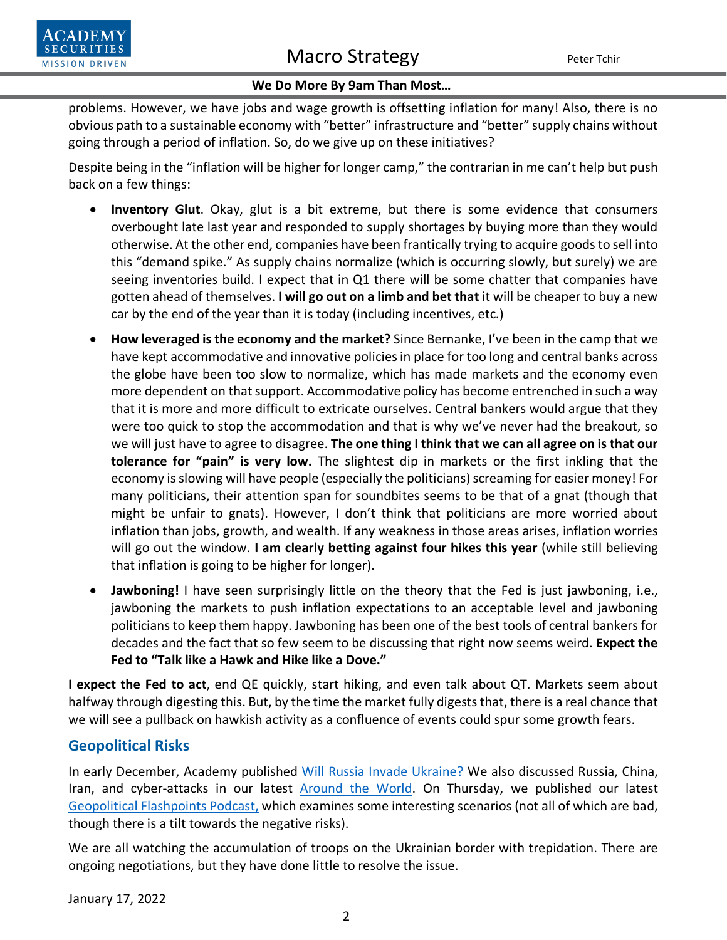

problems. However, we have jobs and wage growth is offsetting inflation for many! Also, there is no obvious path to a sustainable economy with "better" infrastructure and "better" supply chains without going through a period of inflation. So, do we give up on these initiatives?

Despite being in the "inflation will be higher for longer camp," the contrarian in me can't help but push back on a few things:

- **Inventory Glut**. Okay, glut is a bit extreme, but there is some evidence that consumers overbought late last year and responded to supply shortages by buying more than they would otherwise. At the other end, companies have been frantically trying to acquire goods to sell into this "demand spike." As supply chains normalize (which is occurring slowly, but surely) we are seeing inventories build. I expect that in Q1 there will be some chatter that companies have gotten ahead of themselves. **I will go out on a limb and bet that** it will be cheaper to buy a new car by the end of the year than it is today (including incentives, etc.)
- **How leveraged is the economy and the market?** Since Bernanke, I've been in the camp that we have kept accommodative and innovative policies in place for too long and central banks across the globe have been too slow to normalize, which has made markets and the economy even more dependent on that support. Accommodative policy has become entrenched in such a way that it is more and more difficult to extricate ourselves. Central bankers would argue that they were too quick to stop the accommodation and that is why we've never had the breakout, so we will just have to agree to disagree. **The one thing I think that we can all agree on is that our tolerance for "pain" is very low.** The slightest dip in markets or the first inkling that the economy is slowing will have people (especially the politicians) screaming for easier money! For many politicians, their attention span for soundbites seems to be that of a gnat (though that might be unfair to gnats). However, I don't think that politicians are more worried about inflation than jobs, growth, and wealth. If any weakness in those areas arises, inflation worries will go out the window. **I am clearly betting against four hikes this year** (while still believing that inflation is going to be higher for longer).
- **Jawboning!** I have seen surprisingly little on the theory that the Fed is just jawboning, i.e., jawboning the markets to push inflation expectations to an acceptable level and jawboning politicians to keep them happy. Jawboning has been one of the best tools of central bankers for decades and the fact that so few seem to be discussing that right now seems weird. **Expect the Fed to "Talk like a Hawk and Hike like a Dove."**

**I expect the Fed to act**, end QE quickly, start hiking, and even talk about QT. Markets seem about halfway through digesting this. But, by the time the market fully digests that, there is a real chance that we will see a pullback on hawkish activity as a confluence of events could spur some growth fears.

## **Geopolitical Risks**

In early December, Academy published [Will Russia Invade Ukraine?](https://www.academysecurities.com/geopolitical/insights/) We also discussed Russia, China, Iran, and cyber-attacks in our latest [Around the World.](https://www.academysecurities.com/geopolitical/around-the-world/) On Thursday, we published our latest [Geopolitical Flashpoints](https://www.academysecurities.com/geopolitical/geopolitical-podcasts/) Podcast, which examines some interesting scenarios (not all of which are bad, though there is a tilt towards the negative risks).

We are all watching the accumulation of troops on the Ukrainian border with trepidation. There are ongoing negotiations, but they have done little to resolve the issue.

January 17, 2022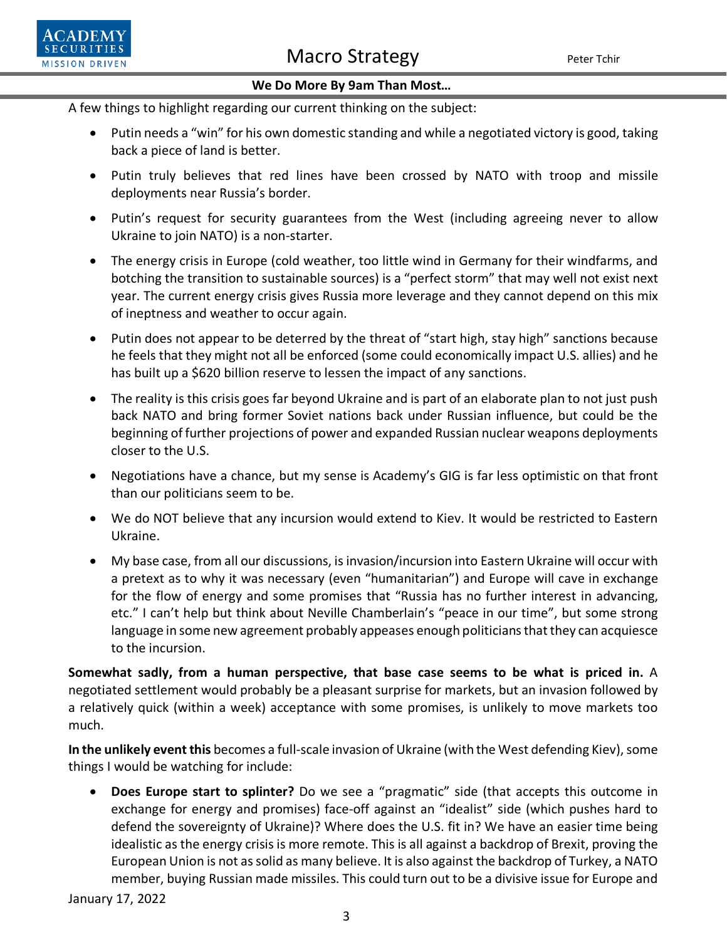

A few things to highlight regarding our current thinking on the subject:

- Putin needs a "win" for his own domestic standing and while a negotiated victory is good, taking back a piece of land is better.
- Putin truly believes that red lines have been crossed by NATO with troop and missile deployments near Russia's border.
- Putin's request for security guarantees from the West (including agreeing never to allow Ukraine to join NATO) is a non-starter.
- The energy crisis in Europe (cold weather, too little wind in Germany for their windfarms, and botching the transition to sustainable sources) is a "perfect storm" that may well not exist next year. The current energy crisis gives Russia more leverage and they cannot depend on this mix of ineptness and weather to occur again.
- Putin does not appear to be deterred by the threat of "start high, stay high" sanctions because he feels that they might not all be enforced (some could economically impact U.S. allies) and he has built up a \$620 billion reserve to lessen the impact of any sanctions.
- The reality is this crisis goes far beyond Ukraine and is part of an elaborate plan to not just push back NATO and bring former Soviet nations back under Russian influence, but could be the beginning of further projections of power and expanded Russian nuclear weapons deployments closer to the U.S.
- Negotiations have a chance, but my sense is Academy's GIG is far less optimistic on that front than our politicians seem to be.
- We do NOT believe that any incursion would extend to Kiev. It would be restricted to Eastern Ukraine.
- My base case, from all our discussions, is invasion/incursion into Eastern Ukraine will occur with a pretext as to why it was necessary (even "humanitarian") and Europe will cave in exchange for the flow of energy and some promises that "Russia has no further interest in advancing, etc." I can't help but think about Neville Chamberlain's "peace in our time", but some strong language in some new agreement probably appeases enough politicians that they can acquiesce to the incursion.

**Somewhat sadly, from a human perspective, that base case seems to be what is priced in.** A negotiated settlement would probably be a pleasant surprise for markets, but an invasion followed by a relatively quick (within a week) acceptance with some promises, is unlikely to move markets too much.

**In the unlikely event this** becomes a full-scale invasion of Ukraine (with the West defending Kiev), some things I would be watching for include:

• **Does Europe start to splinter?** Do we see a "pragmatic" side (that accepts this outcome in exchange for energy and promises) face-off against an "idealist" side (which pushes hard to defend the sovereignty of Ukraine)? Where does the U.S. fit in? We have an easier time being idealistic as the energy crisis is more remote. This is all against a backdrop of Brexit, proving the European Union is not as solid as many believe. It is also against the backdrop of Turkey, a NATO member, buying Russian made missiles. This could turn out to be a divisive issue for Europe and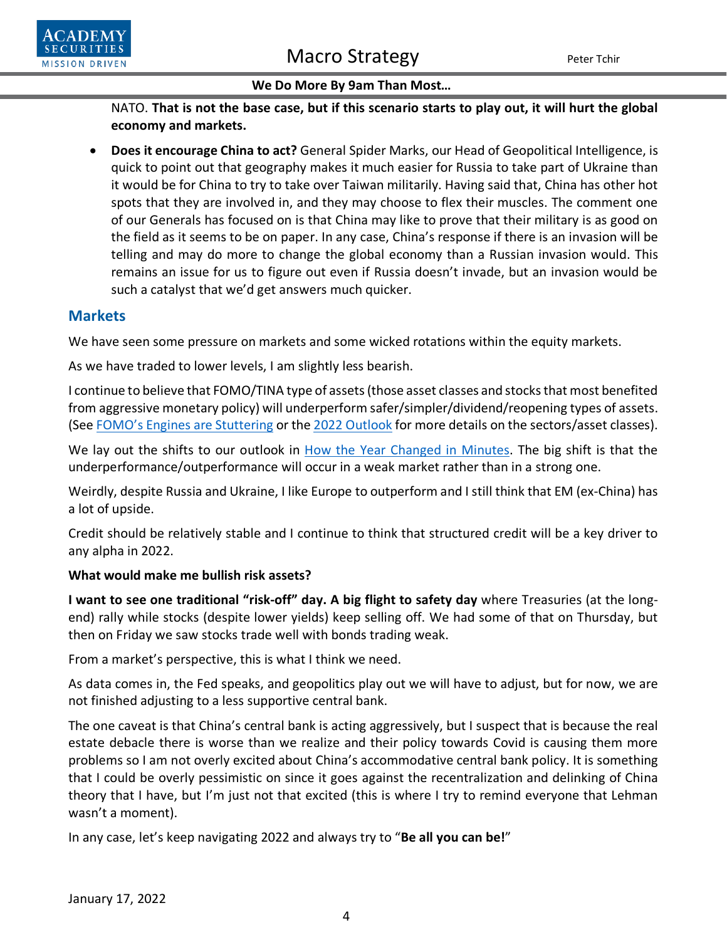

NATO. **That is not the base case, but if this scenario starts to play out, it will hurt the global economy and markets.**

• **Does it encourage China to act?** General Spider Marks, our Head of Geopolitical Intelligence, is quick to point out that geography makes it much easier for Russia to take part of Ukraine than it would be for China to try to take over Taiwan militarily. Having said that, China has other hot spots that they are involved in, and they may choose to flex their muscles. The comment one of our Generals has focused on is that China may like to prove that their military is as good on the field as it seems to be on paper. In any case, China's response if there is an invasion will be telling and may do more to change the global economy than a Russian invasion would. This remains an issue for us to figure out even if Russia doesn't invade, but an invasion would be such a catalyst that we'd get answers much quicker.

## **Markets**

We have seen some pressure on markets and some wicked rotations within the equity markets.

As we have traded to lower levels, I am slightly less bearish.

I continue to believe that FOMO/TINA type of assets (those asset classes and stocks that most benefited from aggressive monetary policy) will underperform safer/simpler/dividend/reopening types of assets. (See [FOMO's Engines are Stuttering](https://www.academysecurities.com/wordpress/wp-content/uploads/2021/12/TINA-BOGO-and-FOMOs-Engines-are-Stuttering.pdf) or the [2022 Outlook](https://www.academysecurities.com/wordpress/wp-content/uploads/2022/01/The-2022-Outlook.pdf) for more details on the sectors/asset classes).

We lay out the shifts to our outlook in [How the Year Changed in Minutes.](https://www.academysecurities.com/wordpress/wp-content/uploads/2022/01/How-the-Year-Changed-in-Minutes.pdf) The big shift is that the underperformance/outperformance will occur in a weak market rather than in a strong one.

Weirdly, despite Russia and Ukraine, I like Europe to outperform and I still think that EM (ex-China) has a lot of upside.

Credit should be relatively stable and I continue to think that structured credit will be a key driver to any alpha in 2022.

## **What would make me bullish risk assets?**

**I want to see one traditional "risk-off" day. A big flight to safety day** where Treasuries (at the longend) rally while stocks (despite lower yields) keep selling off. We had some of that on Thursday, but then on Friday we saw stocks trade well with bonds trading weak.

From a market's perspective, this is what I think we need.

As data comes in, the Fed speaks, and geopolitics play out we will have to adjust, but for now, we are not finished adjusting to a less supportive central bank.

The one caveat is that China's central bank is acting aggressively, but I suspect that is because the real estate debacle there is worse than we realize and their policy towards Covid is causing them more problems so I am not overly excited about China's accommodative central bank policy. It is something that I could be overly pessimistic on since it goes against the recentralization and delinking of China theory that I have, but I'm just not that excited (this is where I try to remind everyone that Lehman wasn't a moment).

In any case, let's keep navigating 2022 and always try to "**Be all you can be!**"